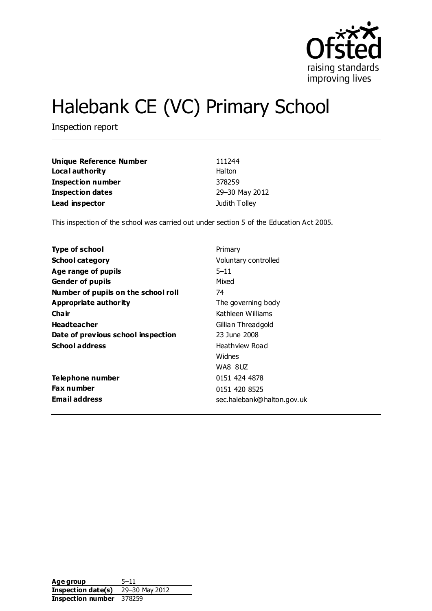

# Halebank CE (VC) Primary School

Inspection report

| Unique Reference Number  | 111244         |
|--------------------------|----------------|
| Local authority          | Halton         |
| <b>Inspection number</b> | 378259         |
| <b>Inspection dates</b>  | 29-30 May 2012 |
| Lead inspector           | Judith Tolley  |

This inspection of the school was carried out under section 5 of the Education Act 2005.

| <b>Type of school</b>               | Primary                    |
|-------------------------------------|----------------------------|
| <b>School category</b>              | Voluntary controlled       |
| Age range of pupils                 | $5 - 11$                   |
| <b>Gender of pupils</b>             | Mixed                      |
| Number of pupils on the school roll | 74                         |
| Appropriate authority               | The governing body         |
| Cha ir                              | Kathleen Williams          |
| <b>Headteacher</b>                  | Gillian Threadgold         |
| Date of previous school inspection  | 23 June 2008               |
| <b>School address</b>               | Heathview Road             |
|                                     | Widnes                     |
|                                     | WA8 8UZ                    |
| <b>Telephone number</b>             | 0151 424 4878              |
| <b>Fax number</b>                   | 0151 420 8525              |
| <b>Email address</b>                | sec.halebank@halton.gov.uk |

Age group 5-11 **Inspection date(s)** 29–30 May 2012 **Inspection number** 378259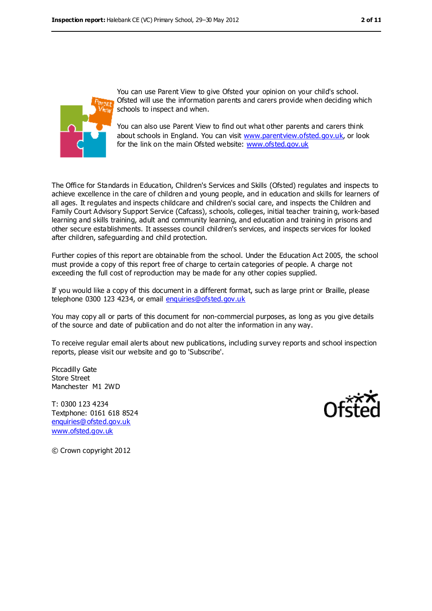

You can use Parent View to give Ofsted your opinion on your child's school. Ofsted will use the information parents and carers provide when deciding which schools to inspect and when.

You can also use Parent View to find out what other parents and carers think about schools in England. You can visit [www.parentview.ofsted.gov.uk,](https://webmail.cfbt.com/mail/fravey.nsf/0/AppData/Local/Microsoft/Windows/Temporary%20Internet%20Files/Low/Content.IE5/Downloads/www.parentview.ofsted.gov.uk) or look for the link on the main Ofsted website: [www.ofsted.gov.uk](https://webmail.cfbt.com/mail/fravey.nsf/0/AppData/Local/Microsoft/Windows/Temporary%20Internet%20Files/Low/Content.IE5/Downloads/www.ofsted.gov.uk)

The Office for Standards in Education, Children's Services and Skills (Ofsted) regulates and inspects to achieve excellence in the care of children and young people, and in education and skills for learners of all ages. It regulates and inspects childcare and children's social care, and inspects the Children and Family Court Advisory Support Service (Cafcass), schools, colleges, initial teacher trainin g, work-based learning and skills training, adult and community learning, and education and training in prisons and other secure establishments. It assesses council children's services, and inspects services for looked after children, safeguarding and child protection.

Further copies of this report are obtainable from the school. Under the Education Act 2005, the school must provide a copy of this report free of charge to certain categories of people. A charge not exceeding the full cost of reproduction may be made for any other copies supplied.

If you would like a copy of this document in a different format, such as large print or Braille, please telephone 0300 123 4234, or email [enquiries@ofsted.gov.uk](mailto:enquiries@ofsted.gov.uk)

You may copy all or parts of this document for non-commercial purposes, as long as you give details of the source and date of publication and do not alter the information in any way.

To receive regular email alerts about new publications, including survey reports and school inspection reports, please visit our website and go to 'Subscribe'.

Piccadilly Gate Store Street Manchester M1 2WD

T: 0300 123 4234 Textphone: 0161 618 8524 [enquiries@ofsted.gov.uk](mailto:enquiries@ofsted.gov.uk) [www.ofsted.gov.uk](http://www.ofsted.gov.uk/)



© Crown copyright 2012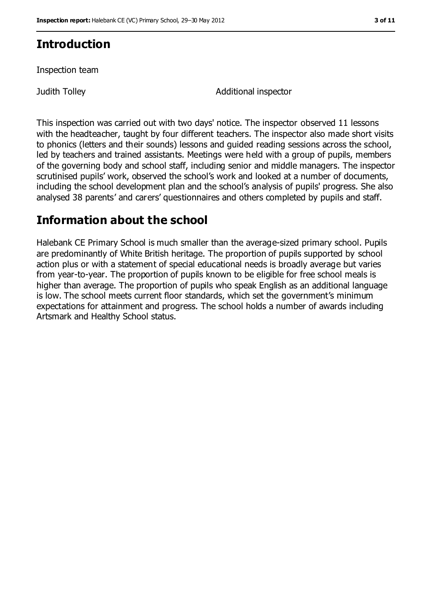### **Introduction**

Inspection team

Judith Tolley Additional inspector

This inspection was carried out with two days' notice. The inspector observed 11 lessons with the headteacher, taught by four different teachers. The inspector also made short visits to phonics (letters and their sounds) lessons and guided reading sessions across the school, led by teachers and trained assistants. Meetings were held with a group of pupils, members of the governing body and school staff, including senior and middle managers. The inspector scrutinised pupils' work, observed the school's work and looked at a number of documents, including the school development plan and the school's analysis of pupils' progress. She also analysed 38 parents' and carers' questionnaires and others completed by pupils and staff.

### **Information about the school**

Halebank CE Primary School is much smaller than the average-sized primary school. Pupils are predominantly of White British heritage. The proportion of pupils supported by school action plus or with a statement of special educational needs is broadly average but varies from year-to-year. The proportion of pupils known to be eligible for free school meals is higher than average. The proportion of pupils who speak English as an additional language is low. The school meets current floor standards, which set the government's minimum expectations for attainment and progress. The school holds a number of awards including Artsmark and Healthy School status.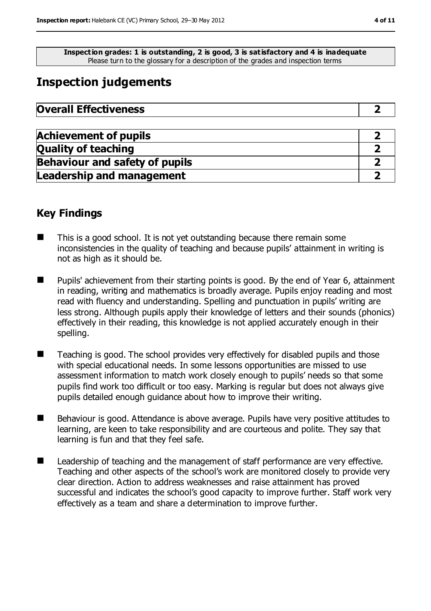**Inspection grades: 1 is outstanding, 2 is good, 3 is satisfactory and 4 is inadequate** Please turn to the glossary for a description of the grades and inspection terms

### **Inspection judgements**

| <b>Overall Effectiveness</b> |  |
|------------------------------|--|
|                              |  |

| <b>Achievement of pupils</b>          |  |
|---------------------------------------|--|
| <b>Quality of teaching</b>            |  |
| <b>Behaviour and safety of pupils</b> |  |
| <b>Leadership and management</b>      |  |

### **Key Findings**

- $\blacksquare$  This is a good school. It is not vet outstanding because there remain some inconsistencies in the quality of teaching and because pupils' attainment in writing is not as high as it should be.
- Pupils' achievement from their starting points is good. By the end of Year 6, attainment in reading, writing and mathematics is broadly average. Pupils enjoy reading and most read with fluency and understanding. Spelling and punctuation in pupils' writing are less strong. Although pupils apply their knowledge of letters and their sounds (phonics) effectively in their reading, this knowledge is not applied accurately enough in their spelling.
- Teaching is good. The school provides very effectively for disabled pupils and those with special educational needs. In some lessons opportunities are missed to use assessment information to match work closely enough to pupils' needs so that some pupils find work too difficult or too easy. Marking is regular but does not always give pupils detailed enough guidance about how to improve their writing.
- Behaviour is good. Attendance is above average. Pupils have very positive attitudes to learning, are keen to take responsibility and are courteous and polite. They say that learning is fun and that they feel safe.
- **Leadership of teaching and the management of staff performance are very effective.** Teaching and other aspects of the school's work are monitored closely to provide very clear direction. Action to address weaknesses and raise attainment has proved successful and indicates the school's good capacity to improve further. Staff work very effectively as a team and share a determination to improve further.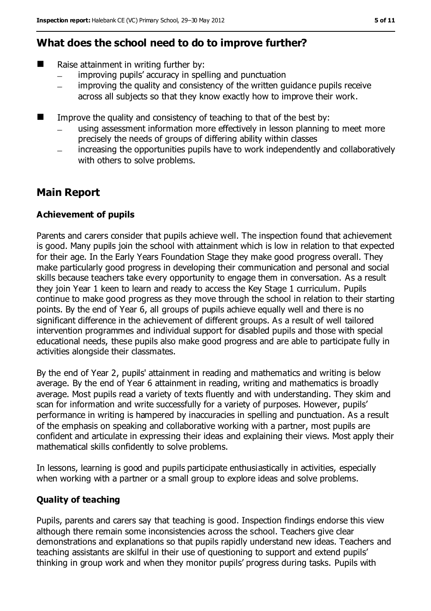### **What does the school need to do to improve further?**

- Raise attainment in writing further by:
	- improving pupils' accuracy in spelling and punctuation
	- improving the quality and consistency of the written guidance pupils receive  $\overline{\phantom{0}}$ across all subjects so that they know exactly how to improve their work.
- $\blacksquare$  Improve the quality and consistency of teaching to that of the best by:
	- using assessment information more effectively in lesson planning to meet more precisely the needs of groups of differing ability within classes
	- increasing the opportunities pupils have to work independently and collaboratively with others to solve problems.

### **Main Report**

#### **Achievement of pupils**

Parents and carers consider that pupils achieve well. The inspection found that achievement is good. Many pupils join the school with attainment which is low in relation to that expected for their age. In the Early Years Foundation Stage they make good progress overall. They make particularly good progress in developing their communication and personal and social skills because teachers take every opportunity to engage them in conversation. As a result they join Year 1 keen to learn and ready to access the Key Stage 1 curriculum. Pupils continue to make good progress as they move through the school in relation to their starting points. By the end of Year 6, all groups of pupils achieve equally well and there is no significant difference in the achievement of different groups. As a result of well tailored intervention programmes and individual support for disabled pupils and those with special educational needs, these pupils also make good progress and are able to participate fully in activities alongside their classmates.

By the end of Year 2, pupils' attainment in reading and mathematics and writing is below average. By the end of Year 6 attainment in reading, writing and mathematics is broadly average. Most pupils read a variety of texts fluently and with understanding. They skim and scan for information and write successfully for a variety of purposes. However, pupils' performance in writing is hampered by inaccuracies in spelling and punctuation. As a result of the emphasis on speaking and collaborative working with a partner, most pupils are confident and articulate in expressing their ideas and explaining their views. Most apply their mathematical skills confidently to solve problems.

In lessons, learning is good and pupils participate enthusiastically in activities, especially when working with a partner or a small group to explore ideas and solve problems.

#### **Quality of teaching**

Pupils, parents and carers say that teaching is good. Inspection findings endorse this view although there remain some inconsistencies across the school. Teachers give clear demonstrations and explanations so that pupils rapidly understand new ideas. Teachers and teaching assistants are skilful in their use of questioning to support and extend pupils' thinking in group work and when they monitor pupils' progress during tasks. Pupils with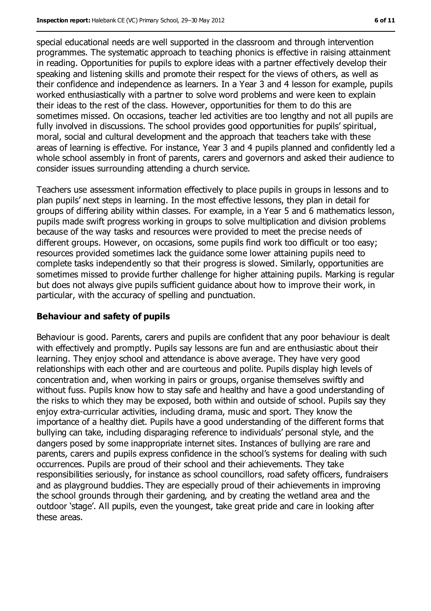special educational needs are well supported in the classroom and through intervention programmes. The systematic approach to teaching phonics is effective in raising attainment in reading. Opportunities for pupils to explore ideas with a partner effectively develop their speaking and listening skills and promote their respect for the views of others, as well as their confidence and independence as learners. In a Year 3 and 4 lesson for example, pupils worked enthusiastically with a partner to solve word problems and were keen to explain their ideas to the rest of the class. However, opportunities for them to do this are sometimes missed. On occasions, teacher led activities are too lengthy and not all pupils are fully involved in discussions. The school provides good opportunities for pupils' spiritual, moral, social and cultural development and the approach that teachers take with these areas of learning is effective. For instance, Year 3 and 4 pupils planned and confidently led a whole school assembly in front of parents, carers and governors and asked their audience to consider issues surrounding attending a church service.

Teachers use assessment information effectively to place pupils in groups in lessons and to plan pupils' next steps in learning. In the most effective lessons, they plan in detail for groups of differing ability within classes. For example, in a Year 5 and 6 mathematics lesson, pupils made swift progress working in groups to solve multiplication and division problems because of the way tasks and resources were provided to meet the precise needs of different groups. However, on occasions, some pupils find work too difficult or too easy; resources provided sometimes lack the guidance some lower attaining pupils need to complete tasks independently so that their progress is slowed. Similarly, opportunities are sometimes missed to provide further challenge for higher attaining pupils. Marking is regular but does not always give pupils sufficient guidance about how to improve their work, in particular, with the accuracy of spelling and punctuation.

#### **Behaviour and safety of pupils**

Behaviour is good. Parents, carers and pupils are confident that any poor behaviour is dealt with effectively and promptly. Pupils say lessons are fun and are enthusiastic about their learning. They enjoy school and attendance is above average. They have very good relationships with each other and are courteous and polite. Pupils display high levels of concentration and, when working in pairs or groups, organise themselves swiftly and without fuss. Pupils know how to stay safe and healthy and have a good understanding of the risks to which they may be exposed, both within and outside of school. Pupils say they enjoy extra-curricular activities, including drama, music and sport. They know the importance of a healthy diet. Pupils have a good understanding of the different forms that bullying can take, including disparaging reference to individuals' personal style, and the dangers posed by some inappropriate internet sites. Instances of bullying are rare and parents, carers and pupils express confidence in the school's systems for dealing with such occurrences. Pupils are proud of their school and their achievements. They take responsibilities seriously, for instance as school councillors, road safety officers, fundraisers and as playground buddies. They are especially proud of their achievements in improving the school grounds through their gardening, and by creating the wetland area and the outdoor 'stage'. All pupils, even the youngest, take great pride and care in looking after these areas.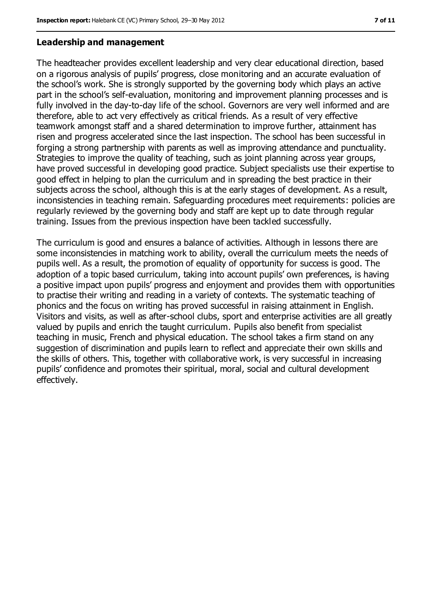#### **Leadership and management**

The headteacher provides excellent leadership and very clear educational direction, based on a rigorous analysis of pupils' progress, close monitoring and an accurate evaluation of the school's work. She is strongly supported by the governing body which plays an active part in the school's self-evaluation, monitoring and improvement planning processes and is fully involved in the day-to-day life of the school. Governors are very well informed and are therefore, able to act very effectively as critical friends. As a result of very effective teamwork amongst staff and a shared determination to improve further, attainment has risen and progress accelerated since the last inspection. The school has been successful in forging a strong partnership with parents as well as improving attendance and punctuality. Strategies to improve the quality of teaching, such as joint planning across year groups, have proved successful in developing good practice. Subject specialists use their expertise to good effect in helping to plan the curriculum and in spreading the best practice in their subjects across the school, although this is at the early stages of development. As a result, inconsistencies in teaching remain. Safeguarding procedures meet requirements: policies are regularly reviewed by the governing body and staff are kept up to date through regular training. Issues from the previous inspection have been tackled successfully.

The curriculum is good and ensures a balance of activities. Although in lessons there are some inconsistencies in matching work to ability, overall the curriculum meets the needs of pupils well. As a result, the promotion of equality of opportunity for success is good. The adoption of a topic based curriculum, taking into account pupils' own preferences, is having a positive impact upon pupils' progress and enjoyment and provides them with opportunities to practise their writing and reading in a variety of contexts. The systematic teaching of phonics and the focus on writing has proved successful in raising attainment in English. Visitors and visits, as well as after-school clubs, sport and enterprise activities are all greatly valued by pupils and enrich the taught curriculum. Pupils also benefit from specialist teaching in music, French and physical education. The school takes a firm stand on any suggestion of discrimination and pupils learn to reflect and appreciate their own skills and the skills of others. This, together with collaborative work, is very successful in increasing pupils' confidence and promotes their spiritual, moral, social and cultural development effectively.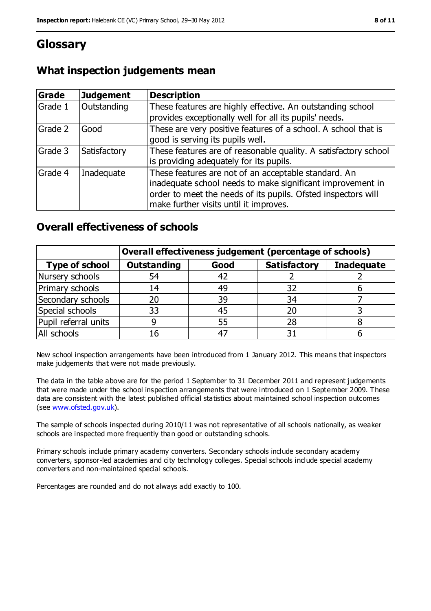### **Glossary**

| Grade          | <b>Judgement</b> | <b>Description</b>                                                                                                                                                                                                            |
|----------------|------------------|-------------------------------------------------------------------------------------------------------------------------------------------------------------------------------------------------------------------------------|
| Grade 1        | Outstanding      | These features are highly effective. An outstanding school<br>provides exceptionally well for all its pupils' needs.                                                                                                          |
| Grade 2        | Good             | These are very positive features of a school. A school that is<br>good is serving its pupils well.                                                                                                                            |
| Grade 3        | Satisfactory     | These features are of reasonable quality. A satisfactory school<br>is providing adequately for its pupils.                                                                                                                    |
| <b>Grade 4</b> | Inadequate       | These features are not of an acceptable standard. An<br>inadequate school needs to make significant improvement in<br>order to meet the needs of its pupils. Ofsted inspectors will<br>make further visits until it improves. |

### **What inspection judgements mean**

### **Overall effectiveness of schools**

|                       | Overall effectiveness judgement (percentage of schools) |             |                     |                   |
|-----------------------|---------------------------------------------------------|-------------|---------------------|-------------------|
| <b>Type of school</b> | <b>Outstanding</b>                                      | Good        | <b>Satisfactory</b> | <b>Inadequate</b> |
| Nursery schools       | 54                                                      | 42          |                     |                   |
| Primary schools       | 14                                                      | 49          | 32                  |                   |
| Secondary schools     | 20                                                      | 39          | 34                  |                   |
| Special schools       | 33                                                      | 45          | 20                  |                   |
| Pupil referral units  |                                                         | 55          | 28                  |                   |
| All schools           | 16                                                      | $4^{\circ}$ |                     |                   |

New school inspection arrangements have been introduced from 1 January 2012. This means that inspectors make judgements that were not made previously.

The data in the table above are for the period 1 September to 31 December 2011 and represent judgements that were made under the school inspection arrangements that were introduced on 1 September 2009. These data are consistent with the latest published official statistics about maintained school inspection outcomes (see [www.ofsted.gov.uk\)](https://webmail.cfbt.com/mail/fravey.nsf/0/AppData/Local/Microsoft/Windows/Temporary%20Internet%20Files/Low/Content.IE5/Downloads/www.ofsted.gov.uk).

The sample of schools inspected during 2010/11 was not representative of all schools nationally, as weaker schools are inspected more frequently than good or outstanding schools.

Primary schools include primary academy converters. Secondary schools include secondary academy converters, sponsor-led academies and city technology colleges. Special schools include special academy converters and non-maintained special schools.

Percentages are rounded and do not always add exactly to 100.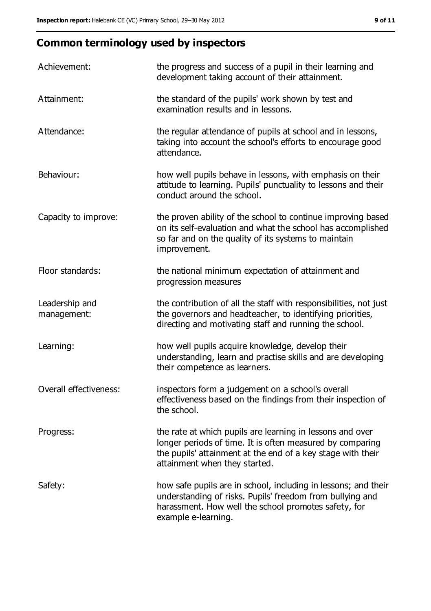## **Common terminology used by inspectors**

| Achievement:                  | the progress and success of a pupil in their learning and<br>development taking account of their attainment.                                                                                                           |
|-------------------------------|------------------------------------------------------------------------------------------------------------------------------------------------------------------------------------------------------------------------|
| Attainment:                   | the standard of the pupils' work shown by test and<br>examination results and in lessons.                                                                                                                              |
| Attendance:                   | the regular attendance of pupils at school and in lessons,<br>taking into account the school's efforts to encourage good<br>attendance.                                                                                |
| Behaviour:                    | how well pupils behave in lessons, with emphasis on their<br>attitude to learning. Pupils' punctuality to lessons and their<br>conduct around the school.                                                              |
| Capacity to improve:          | the proven ability of the school to continue improving based<br>on its self-evaluation and what the school has accomplished<br>so far and on the quality of its systems to maintain<br>improvement.                    |
| Floor standards:              | the national minimum expectation of attainment and<br>progression measures                                                                                                                                             |
| Leadership and<br>management: | the contribution of all the staff with responsibilities, not just<br>the governors and headteacher, to identifying priorities,<br>directing and motivating staff and running the school.                               |
| Learning:                     | how well pupils acquire knowledge, develop their<br>understanding, learn and practise skills and are developing<br>their competence as learners.                                                                       |
| Overall effectiveness:        | inspectors form a judgement on a school's overall<br>effectiveness based on the findings from their inspection of<br>the school.                                                                                       |
| Progress:                     | the rate at which pupils are learning in lessons and over<br>longer periods of time. It is often measured by comparing<br>the pupils' attainment at the end of a key stage with their<br>attainment when they started. |
| Safety:                       | how safe pupils are in school, including in lessons; and their<br>understanding of risks. Pupils' freedom from bullying and<br>harassment. How well the school promotes safety, for<br>example e-learning.             |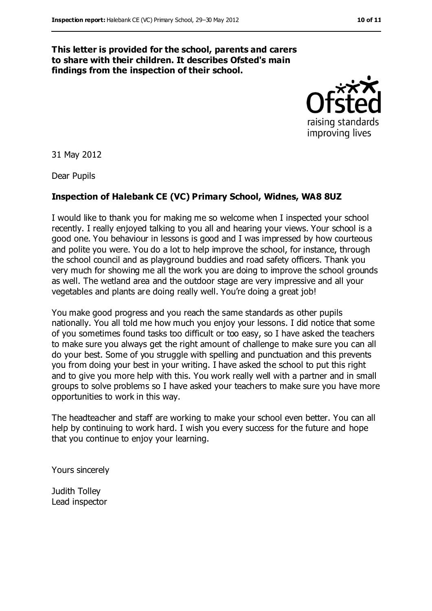#### **This letter is provided for the school, parents and carers to share with their children. It describes Ofsted's main findings from the inspection of their school.**



31 May 2012

Dear Pupils

#### **Inspection of Halebank CE (VC) Primary School, Widnes, WA8 8UZ**

I would like to thank you for making me so welcome when I inspected your school recently. I really enjoyed talking to you all and hearing your views. Your school is a good one. You behaviour in lessons is good and I was impressed by how courteous and polite you were. You do a lot to help improve the school, for instance, through the school council and as playground buddies and road safety officers. Thank you very much for showing me all the work you are doing to improve the school grounds as well. The wetland area and the outdoor stage are very impressive and all your vegetables and plants are doing really well. You're doing a great job!

You make good progress and you reach the same standards as other pupils nationally. You all told me how much you enjoy your lessons. I did notice that some of you sometimes found tasks too difficult or too easy, so I have asked the teachers to make sure you always get the right amount of challenge to make sure you can all do your best. Some of you struggle with spelling and punctuation and this prevents you from doing your best in your writing. I have asked the school to put this right and to give you more help with this. You work really well with a partner and in small groups to solve problems so I have asked your teachers to make sure you have more opportunities to work in this way.

The headteacher and staff are working to make your school even better. You can all help by continuing to work hard. I wish you every success for the future and hope that you continue to enjoy your learning.

Yours sincerely

Judith Tolley Lead inspector